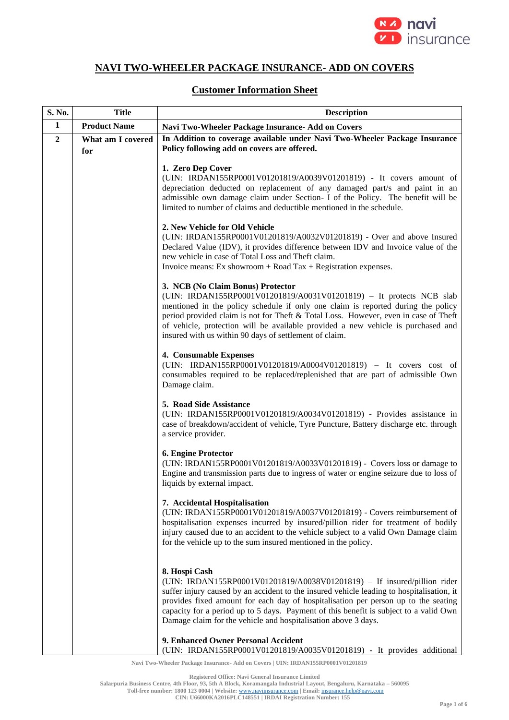

## **NAVI TWO-WHEELER PACKAGE INSURANCE- ADD ON COVERS**

## **Customer Information Sheet**

| S. No.         | <b>Title</b>             | <b>Description</b>                                                                                                                                                                                                                                                                                                                                                                                                                      |
|----------------|--------------------------|-----------------------------------------------------------------------------------------------------------------------------------------------------------------------------------------------------------------------------------------------------------------------------------------------------------------------------------------------------------------------------------------------------------------------------------------|
| 1              | <b>Product Name</b>      | Navi Two-Wheeler Package Insurance- Add on Covers                                                                                                                                                                                                                                                                                                                                                                                       |
| $\overline{2}$ | What am I covered<br>for | In Addition to coverage available under Navi Two-Wheeler Package Insurance<br>Policy following add on covers are offered.                                                                                                                                                                                                                                                                                                               |
|                |                          | 1. Zero Dep Cover<br>(UIN: IRDAN155RP0001V01201819/A0039V01201819) - It covers amount of<br>depreciation deducted on replacement of any damaged part/s and paint in an<br>admissible own damage claim under Section- I of the Policy. The benefit will be<br>limited to number of claims and deductible mentioned in the schedule.                                                                                                      |
|                |                          | 2. New Vehicle for Old Vehicle<br>(UIN: IRDAN155RP0001V01201819/A0032V01201819) - Over and above Insured<br>Declared Value (IDV), it provides difference between IDV and Invoice value of the<br>new vehicle in case of Total Loss and Theft claim.<br>Invoice means: Ex showroom $+$ Road Tax $+$ Registration expenses.                                                                                                               |
|                |                          | 3. NCB (No Claim Bonus) Protector<br>(UIN: IRDAN155RP0001V01201819/A0031V01201819) - It protects NCB slab<br>mentioned in the policy schedule if only one claim is reported during the policy<br>period provided claim is not for Theft & Total Loss. However, even in case of Theft<br>of vehicle, protection will be available provided a new vehicle is purchased and<br>insured with us within 90 days of settlement of claim.      |
|                |                          | 4. Consumable Expenses<br>(UIN: IRDAN155RP0001V01201819/A0004V01201819) - It covers cost of<br>consumables required to be replaced/replenished that are part of admissible Own<br>Damage claim.                                                                                                                                                                                                                                         |
|                |                          | 5. Road Side Assistance<br>(UIN: IRDAN155RP0001V01201819/A0034V01201819) - Provides assistance in<br>case of breakdown/accident of vehicle, Tyre Puncture, Battery discharge etc. through<br>a service provider.                                                                                                                                                                                                                        |
|                |                          | 6. Engine Protector<br>(UIN: IRDAN155RP0001V01201819/A0033V01201819) - Covers loss or damage to<br>Engine and transmission parts due to ingress of water or engine seizure due to loss of<br>liquids by external impact.                                                                                                                                                                                                                |
|                |                          | 7. Accidental Hospitalisation<br>(UIN: IRDAN155RP0001V01201819/A0037V01201819) - Covers reimbursement of<br>hospitalisation expenses incurred by insured/pillion rider for treatment of bodily<br>injury caused due to an accident to the vehicle subject to a valid Own Damage claim<br>for the vehicle up to the sum insured mentioned in the policy.                                                                                 |
|                |                          | 8. Hospi Cash<br>(UIN: IRDAN155RP0001V01201819/A0038V01201819) - If insured/pillion rider<br>suffer injury caused by an accident to the insured vehicle leading to hospitalisation, it<br>provides fixed amount for each day of hospitalisation per person up to the seating<br>capacity for a period up to 5 days. Payment of this benefit is subject to a valid Own<br>Damage claim for the vehicle and hospitalisation above 3 days. |
|                |                          | 9. Enhanced Owner Personal Accident<br>(UIN: IRDAN155RP0001V01201819/A0035V01201819) - It provides additional                                                                                                                                                                                                                                                                                                                           |

**Navi Two-Wheeler Package Insurance- Add on Covers | UIN: IRDAN155RP0001V01201819**

**Registered Office: Navi General Insurance Limited**

**Salarpuria Business Centre, 4th Floor, 93, 5th A Block, Koramangala Industrial Layout, Bengaluru, Karnataka – 560095**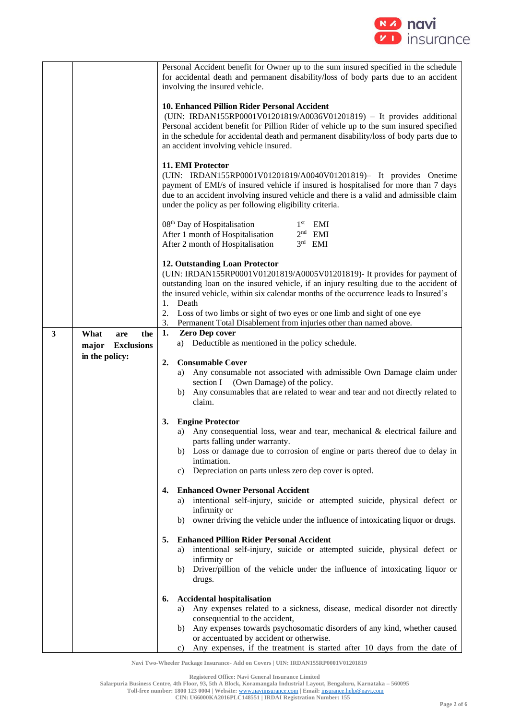

|              |                                                  | Personal Accident benefit for Owner up to the sum insured specified in the schedule<br>for accidental death and permanent disability/loss of body parts due to an accident<br>involving the insured vehicle.                                                                                                                                                                  |
|--------------|--------------------------------------------------|-------------------------------------------------------------------------------------------------------------------------------------------------------------------------------------------------------------------------------------------------------------------------------------------------------------------------------------------------------------------------------|
|              |                                                  | 10. Enhanced Pillion Rider Personal Accident<br>(UIN: IRDAN155RP0001V01201819/A0036V01201819) - It provides additional<br>Personal accident benefit for Pillion Rider of vehicle up to the sum insured specified<br>in the schedule for accidental death and permanent disability/loss of body parts due to<br>an accident involving vehicle insured.                         |
|              |                                                  | 11. EMI Protector<br>(UIN: IRDAN155RP0001V01201819/A0040V01201819)- It provides Onetime<br>payment of EMI/s of insured vehicle if insured is hospitalised for more than 7 days<br>due to an accident involving insured vehicle and there is a valid and admissible claim<br>under the policy as per following eligibility criteria.                                           |
|              |                                                  | 08 <sup>th</sup> Day of Hospitalisation<br>$1st$ EMI<br>After 1 month of Hospitalisation<br>$2nd$ EMI<br>$3rd$ EMI<br>After 2 month of Hospitalisation                                                                                                                                                                                                                        |
|              |                                                  | 12. Outstanding Loan Protector<br>(UIN: IRDAN155RP0001V01201819/A0005V01201819)- It provides for payment of<br>outstanding loan on the insured vehicle, if an injury resulting due to the accident of<br>the insured vehicle, within six calendar months of the occurrence leads to Insured's<br>Death<br>1.                                                                  |
|              |                                                  | 2.<br>Loss of two limbs or sight of two eyes or one limb and sight of one eye<br>Permanent Total Disablement from injuries other than named above.<br>3.                                                                                                                                                                                                                      |
| $\mathbf{3}$ | the<br>What<br>are<br>major<br><b>Exclusions</b> | Zero Dep cover<br>1.<br>a) Deductible as mentioned in the policy schedule.                                                                                                                                                                                                                                                                                                    |
|              | in the policy:                                   | <b>Consumable Cover</b><br>2.<br>Any consumable not associated with admissible Own Damage claim under<br>a)<br>section I (Own Damage) of the policy.<br>Any consumables that are related to wear and tear and not directly related to<br>b)<br>claim.                                                                                                                         |
|              |                                                  | 3.<br><b>Engine Protector</b><br>Any consequential loss, wear and tear, mechanical $\&$ electrical failure and<br>a)<br>parts falling under warranty.<br>b) Loss or damage due to corrosion of engine or parts thereof due to delay in<br>intimation.<br>Depreciation on parts unless zero dep cover is opted.<br>c)                                                          |
|              |                                                  | <b>Enhanced Owner Personal Accident</b><br>4.<br>intentional self-injury, suicide or attempted suicide, physical defect or<br>a)<br>infirmity or<br>owner driving the vehicle under the influence of intoxicating liquor or drugs.<br>b)                                                                                                                                      |
|              |                                                  | <b>Enhanced Pillion Rider Personal Accident</b><br>5.<br>intentional self-injury, suicide or attempted suicide, physical defect or<br>a)<br>infirmity or<br>b) Driver/pillion of the vehicle under the influence of intoxicating liquor or<br>drugs.                                                                                                                          |
|              |                                                  | <b>Accidental hospitalisation</b><br>6.<br>Any expenses related to a sickness, disease, medical disorder not directly<br>a)<br>consequential to the accident,<br>Any expenses towards psychosomatic disorders of any kind, whether caused<br>b)<br>or accentuated by accident or otherwise.<br>Any expenses, if the treatment is started after 10 days from the date of<br>C) |

**Registered Office: Navi General Insurance Limited**

**Salarpuria Business Centre, 4th Floor, 93, 5th A Block, Koramangala Industrial Layout, Bengaluru, Karnataka – 560095**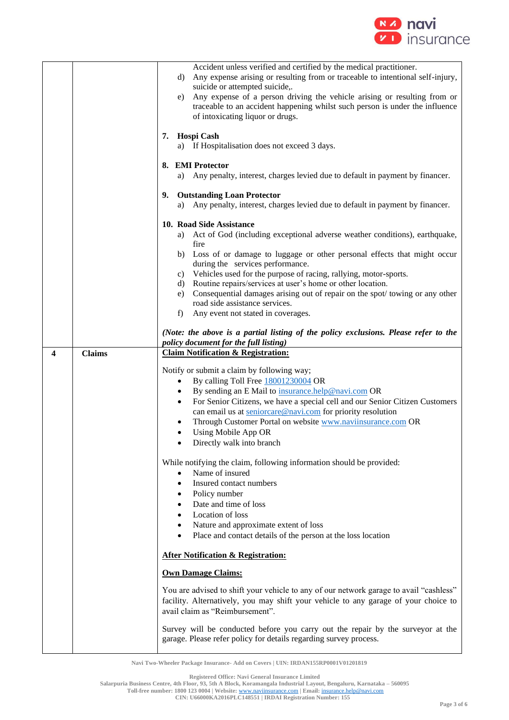

|   |               | Accident unless verified and certified by the medical practitioner.<br>Any expense arising or resulting from or traceable to intentional self-injury,<br>d)                                                      |
|---|---------------|------------------------------------------------------------------------------------------------------------------------------------------------------------------------------------------------------------------|
|   |               | suicide or attempted suicide,.                                                                                                                                                                                   |
|   |               | Any expense of a person driving the vehicle arising or resulting from or<br>e)<br>traceable to an accident happening whilst such person is under the influence<br>of intoxicating liquor or drugs.               |
|   |               | 7.                                                                                                                                                                                                               |
|   |               | Hospi Cash<br>a) If Hospitalisation does not exceed 3 days.                                                                                                                                                      |
|   |               | 8. EMI Protector                                                                                                                                                                                                 |
|   |               | Any penalty, interest, charges levied due to default in payment by financer.<br>a)                                                                                                                               |
|   |               | <b>Outstanding Loan Protector</b><br>9.                                                                                                                                                                          |
|   |               | Any penalty, interest, charges levied due to default in payment by financer.<br>a)                                                                                                                               |
|   |               | 10. Road Side Assistance<br>Act of God (including exceptional adverse weather conditions), earthquake,<br>a)                                                                                                     |
|   |               | fire                                                                                                                                                                                                             |
|   |               | b) Loss of or damage to luggage or other personal effects that might occur<br>during the services performance.                                                                                                   |
|   |               | Vehicles used for the purpose of racing, rallying, motor-sports.<br>C)                                                                                                                                           |
|   |               | Routine repairs/services at user's home or other location.<br>d)<br>Consequential damages arising out of repair on the spot/towing or any other<br>e)                                                            |
|   |               | road side assistance services.<br>f)                                                                                                                                                                             |
|   |               | Any event not stated in coverages.                                                                                                                                                                               |
|   |               | (Note: the above is a partial listing of the policy exclusions. Please refer to the<br>policy document for the full listing)                                                                                     |
| 4 | <b>Claims</b> | <b>Claim Notification &amp; Registration:</b>                                                                                                                                                                    |
|   |               | Notify or submit a claim by following way;                                                                                                                                                                       |
|   |               | By calling Toll Free 18001230004 OR<br>By sending an E Mail to insurance.help@navi.com OR<br>٠                                                                                                                   |
|   |               | For Senior Citizens, we have a special cell and our Senior Citizen Customers<br>٠                                                                                                                                |
|   |               | can email us at seniorcare@navi.com for priority resolution<br>Through Customer Portal on website www.naviinsurance.com OR                                                                                       |
|   |               | Using Mobile App OR<br>٠                                                                                                                                                                                         |
|   |               | Directly walk into branch                                                                                                                                                                                        |
|   |               | While notifying the claim, following information should be provided:                                                                                                                                             |
|   |               | Name of insured<br>$\bullet$<br>Insured contact numbers<br>$\bullet$                                                                                                                                             |
|   |               | Policy number<br>٠                                                                                                                                                                                               |
|   |               | Date and time of loss<br>Location of loss                                                                                                                                                                        |
|   |               | $\bullet$<br>Nature and approximate extent of loss<br>$\bullet$                                                                                                                                                  |
|   |               | Place and contact details of the person at the loss location<br>$\bullet$                                                                                                                                        |
|   |               | <b>After Notification &amp; Registration:</b>                                                                                                                                                                    |
|   |               | <b>Own Damage Claims:</b>                                                                                                                                                                                        |
|   |               | You are advised to shift your vehicle to any of our network garage to avail "cashless"<br>facility. Alternatively, you may shift your vehicle to any garage of your choice to<br>avail claim as "Reimbursement". |
|   |               |                                                                                                                                                                                                                  |

**Registered Office: Navi General Insurance Limited**

**Salarpuria Business Centre, 4th Floor, 93, 5th A Block, Koramangala Industrial Layout, Bengaluru, Karnataka – 560095**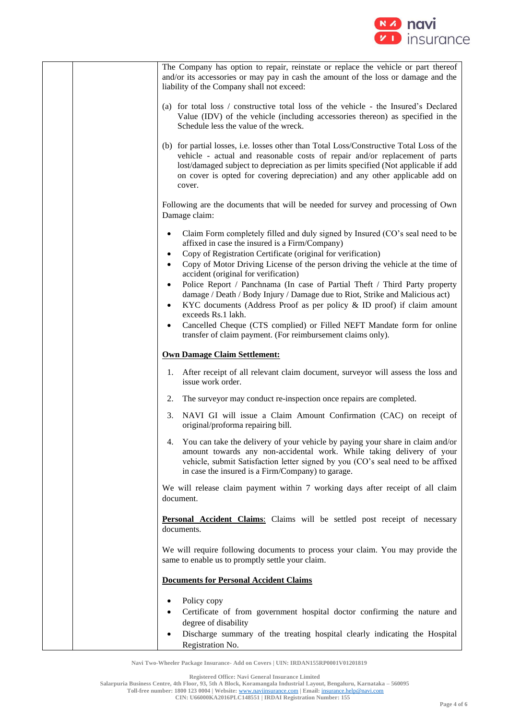

| The Company has option to repair, reinstate or replace the vehicle or part thereof<br>and/or its accessories or may pay in cash the amount of the loss or damage and the<br>liability of the Company shall not exceed:                                                                                                                                   |
|----------------------------------------------------------------------------------------------------------------------------------------------------------------------------------------------------------------------------------------------------------------------------------------------------------------------------------------------------------|
| (a) for total loss / constructive total loss of the vehicle - the Insured's Declared<br>Value (IDV) of the vehicle (including accessories thereon) as specified in the<br>Schedule less the value of the wreck.                                                                                                                                          |
| (b) for partial losses, i.e. losses other than Total Loss/Constructive Total Loss of the<br>vehicle - actual and reasonable costs of repair and/or replacement of parts<br>lost/damaged subject to depreciation as per limits specified (Not applicable if add<br>on cover is opted for covering depreciation) and any other applicable add on<br>cover. |
| Following are the documents that will be needed for survey and processing of Own<br>Damage claim:                                                                                                                                                                                                                                                        |
| Claim Form completely filled and duly signed by Insured (CO's seal need to be<br>٠<br>affixed in case the insured is a Firm/Company)                                                                                                                                                                                                                     |
| Copy of Registration Certificate (original for verification)<br>Copy of Motor Driving License of the person driving the vehicle at the time of<br>accident (original for verification)                                                                                                                                                                   |
| Police Report / Panchnama (In case of Partial Theft / Third Party property<br>$\bullet$<br>damage / Death / Body Injury / Damage due to Riot, Strike and Malicious act)<br>KYC documents (Address Proof as per policy & ID proof) if claim amount<br>$\bullet$                                                                                           |
| exceeds Rs.1 lakh.<br>Cancelled Cheque (CTS complied) or Filled NEFT Mandate form for online<br>transfer of claim payment. (For reimbursement claims only).                                                                                                                                                                                              |
| <b>Own Damage Claim Settlement:</b>                                                                                                                                                                                                                                                                                                                      |
| After receipt of all relevant claim document, surveyor will assess the loss and<br>1.<br>issue work order.                                                                                                                                                                                                                                               |
| The surveyor may conduct re-inspection once repairs are completed.<br>2.                                                                                                                                                                                                                                                                                 |
| NAVI GI will issue a Claim Amount Confirmation (CAC) on receipt of<br>3.<br>original/proforma repairing bill.                                                                                                                                                                                                                                            |
| You can take the delivery of your vehicle by paying your share in claim and/or<br>4.<br>amount towards any non-accidental work. While taking delivery of your<br>vehicle, submit Satisfaction letter signed by you (CO's seal need to be affixed<br>in case the insured is a Firm/Company) to garage.                                                    |
| We will release claim payment within 7 working days after receipt of all claim<br>document.                                                                                                                                                                                                                                                              |
| Personal Accident Claims: Claims will be settled post receipt of necessary<br>documents.                                                                                                                                                                                                                                                                 |
| We will require following documents to process your claim. You may provide the<br>same to enable us to promptly settle your claim.                                                                                                                                                                                                                       |
| <b>Documents for Personal Accident Claims</b>                                                                                                                                                                                                                                                                                                            |
| Policy copy                                                                                                                                                                                                                                                                                                                                              |
| Certificate of from government hospital doctor confirming the nature and<br>degree of disability                                                                                                                                                                                                                                                         |
| Discharge summary of the treating hospital clearly indicating the Hospital<br>Registration No.                                                                                                                                                                                                                                                           |

**Registered Office: Navi General Insurance Limited**

**Salarpuria Business Centre, 4th Floor, 93, 5th A Block, Koramangala Industrial Layout, Bengaluru, Karnataka – 560095**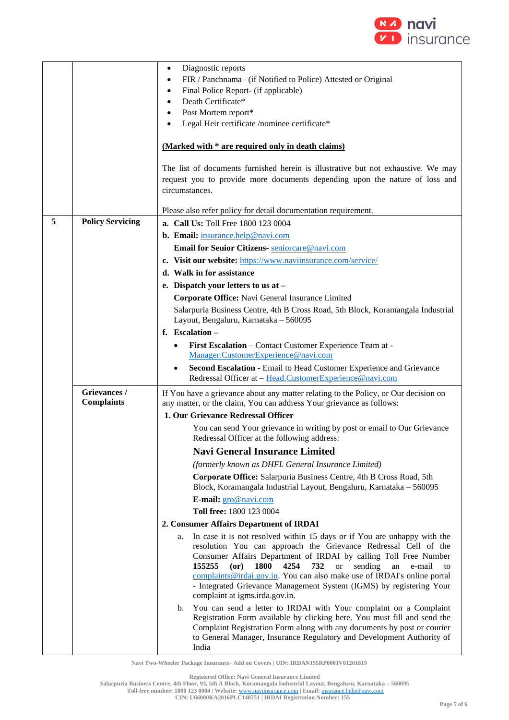

|   |                                   | Diagnostic reports<br>$\bullet$<br>FIR / Panchnama- (if Notified to Police) Attested or Original<br>$\bullet$<br>Final Police Report- (if applicable)<br>٠<br>Death Certificate*<br>$\bullet$<br>Post Mortem report*<br>٠<br>Legal Heir certificate /nominee certificate*                                                                                                                                                                                                                                     |
|---|-----------------------------------|---------------------------------------------------------------------------------------------------------------------------------------------------------------------------------------------------------------------------------------------------------------------------------------------------------------------------------------------------------------------------------------------------------------------------------------------------------------------------------------------------------------|
|   |                                   |                                                                                                                                                                                                                                                                                                                                                                                                                                                                                                               |
|   |                                   | (Marked with * are required only in death claims)                                                                                                                                                                                                                                                                                                                                                                                                                                                             |
|   |                                   | The list of documents furnished herein is illustrative but not exhaustive. We may<br>request you to provide more documents depending upon the nature of loss and<br>circumstances.                                                                                                                                                                                                                                                                                                                            |
|   |                                   | Please also refer policy for detail documentation requirement.                                                                                                                                                                                                                                                                                                                                                                                                                                                |
| 5 | <b>Policy Servicing</b>           | a. Call Us: Toll Free 1800 123 0004                                                                                                                                                                                                                                                                                                                                                                                                                                                                           |
|   |                                   | b. Email: insurance.help@navi.com                                                                                                                                                                                                                                                                                                                                                                                                                                                                             |
|   |                                   | Email for Senior Citizens- seniorcare@navi.com                                                                                                                                                                                                                                                                                                                                                                                                                                                                |
|   |                                   | c. Visit our website: https://www.naviinsurance.com/service/                                                                                                                                                                                                                                                                                                                                                                                                                                                  |
|   |                                   | d. Walk in for assistance                                                                                                                                                                                                                                                                                                                                                                                                                                                                                     |
|   |                                   | e. Dispatch your letters to us at -<br>Corporate Office: Navi General Insurance Limited                                                                                                                                                                                                                                                                                                                                                                                                                       |
|   |                                   | Salarpuria Business Centre, 4th B Cross Road, 5th Block, Koramangala Industrial                                                                                                                                                                                                                                                                                                                                                                                                                               |
|   |                                   | Layout, Bengaluru, Karnataka - 560095                                                                                                                                                                                                                                                                                                                                                                                                                                                                         |
|   |                                   | f. Escalation -                                                                                                                                                                                                                                                                                                                                                                                                                                                                                               |
|   |                                   | First Escalation - Contact Customer Experience Team at -<br>٠                                                                                                                                                                                                                                                                                                                                                                                                                                                 |
|   |                                   | Manager.CustomerExperience@navi.com                                                                                                                                                                                                                                                                                                                                                                                                                                                                           |
|   |                                   | Second Escalation - Email to Head Customer Experience and Grievance<br>Redressal Officer at - Head.CustomerExperience@navi.com                                                                                                                                                                                                                                                                                                                                                                                |
|   | Grievances /<br><b>Complaints</b> | If You have a grievance about any matter relating to the Policy, or Our decision on<br>any matter, or the claim, You can address Your grievance as follows:                                                                                                                                                                                                                                                                                                                                                   |
|   |                                   | 1. Our Grievance Redressal Officer                                                                                                                                                                                                                                                                                                                                                                                                                                                                            |
|   |                                   | You can send Your grievance in writing by post or email to Our Grievance<br>Redressal Officer at the following address:                                                                                                                                                                                                                                                                                                                                                                                       |
|   |                                   | <b>Navi General Insurance Limited</b>                                                                                                                                                                                                                                                                                                                                                                                                                                                                         |
|   |                                   | (formerly known as DHFL General Insurance Limited)                                                                                                                                                                                                                                                                                                                                                                                                                                                            |
|   |                                   | Corporate Office: Salarpuria Business Centre, 4th B Cross Road, 5th<br>Block, Koramangala Industrial Layout, Bengaluru, Karnataka - 560095                                                                                                                                                                                                                                                                                                                                                                    |
|   |                                   | E-mail: gro@navi.com                                                                                                                                                                                                                                                                                                                                                                                                                                                                                          |
|   |                                   | Toll free: 1800 123 0004                                                                                                                                                                                                                                                                                                                                                                                                                                                                                      |
|   |                                   | 2. Consumer Affairs Department of IRDAI                                                                                                                                                                                                                                                                                                                                                                                                                                                                       |
|   |                                   | In case it is not resolved within 15 days or if You are unhappy with the<br>a.<br>resolution You can approach the Grievance Redressal Cell of the<br>Consumer Affairs Department of IRDAI by calling Toll Free Number<br>155255<br><b>1800</b><br>4254<br>732<br>$($ or $)$<br><b>or</b><br>sending<br>an<br>e-mail<br>to<br>complaints@irdai.gov.in. You can also make use of IRDAI's online portal<br>- Integrated Grievance Management System (IGMS) by registering Your<br>complaint at igms.irda.gov.in. |
|   |                                   | You can send a letter to IRDAI with Your complaint on a Complaint<br>b.<br>Registration Form available by clicking here. You must fill and send the<br>Complaint Registration Form along with any documents by post or courier<br>to General Manager, Insurance Regulatory and Development Authority of<br>India                                                                                                                                                                                              |

**Registered Office: Navi General Insurance Limited**

**Salarpuria Business Centre, 4th Floor, 93, 5th A Block, Koramangala Industrial Layout, Bengaluru, Karnataka – 560095**